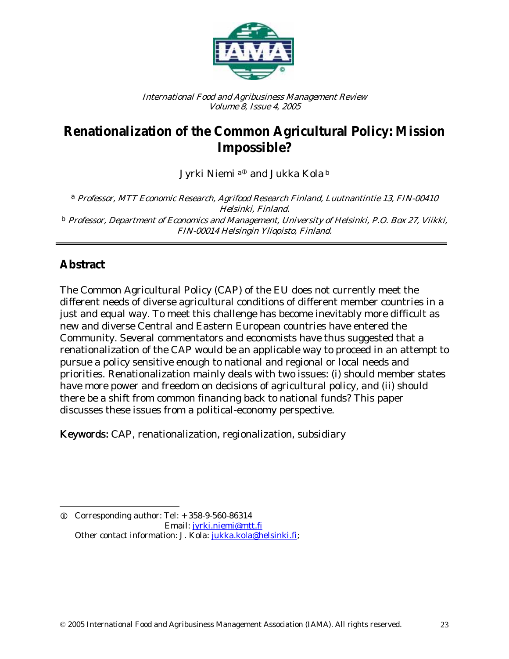

International Food and Agribusiness Management Review Volume 8, Issue 4, 2005

# **Renationalization of the Common Agricultural Policy: Mission Impossible?**

Jyrki Niemi <sup>a®</sup> and Jukka Kola b

<sup>a</sup> Professor, MTT Economic Research, Agrifood Research Finland, Luutnantintie 13, FIN-00410 Helsinki, Finland.  $^{\rm b}$  Professor, Department of Economics and Management, University of Helsinki, P.O. Box 27, Viikki, FIN-00014 Helsingin Yliopisto, Finland.

## **Abstract**

The Common Agricultural Policy (CAP) of the EU does not currently meet the different needs of diverse agricultural conditions of different member countries in a just and equal way. To meet this challenge has become inevitably more difficult as new and diverse Central and Eastern European countries have entered the Community. Several commentators and economists have thus suggested that a renationalization of the CAP would be an applicable way to proceed in an attempt to pursue a policy sensitive enough to national and regional or local needs and priorities. Renationalization mainly deals with two issues: (i) should member states have more power and freedom on decisions of agricultural policy, and (ii) should there be a shift from common financing back to national funds? This paper discusses these issues from a political-economy perspective.

Keywords: CAP, renationalization, regionalization, subsidiary

 $\overline{\phantom{a}}$ L Corresponding author: Tel: + 358-9-560-86314 Email: jyrki.niemi@mtt.fi Other contact information: J. Kola: jukka.kola@helsinki.fi;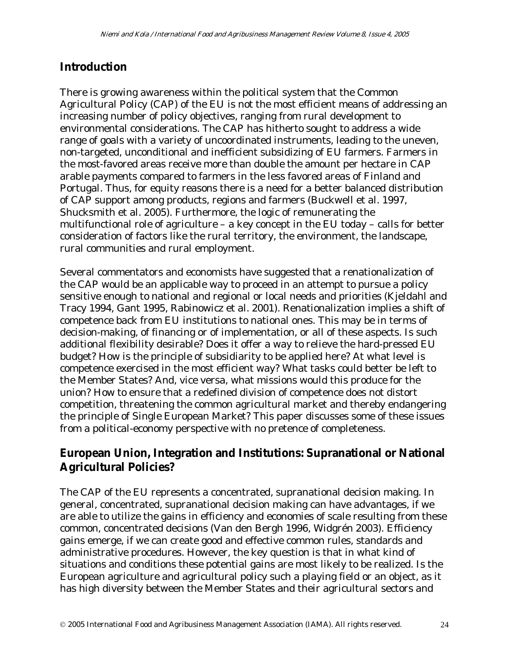#### **Introduction**

There is growing awareness within the political system that the Common Agricultural Policy (CAP) of the EU is not the most efficient means of addressing an increasing number of policy objectives, ranging from rural development to environmental considerations. The CAP has hitherto sought to address a wide range of goals with a variety of uncoordinated instruments, leading to the uneven, non-targeted, unconditional and inefficient subsidizing of EU farmers. Farmers in the most-favored areas receive more than double the amount per hectare in CAP arable payments compared to farmers in the less favored areas of Finland and Portugal. Thus, for equity reasons there is a need for a better balanced distribution of CAP support among products, regions and farmers (Buckwell et al. 1997, Shucksmith et al. 2005). Furthermore, the logic of remunerating the multifunctional role of agriculture – a key concept in the EU today – calls for better consideration of factors like the rural territory, the environment, the landscape, rural communities and rural employment.

Several commentators and economists have suggested that a renationalization of the CAP would be an applicable way to proceed in an attempt to pursue a policy sensitive enough to national and regional or local needs and priorities (Kjeldahl and Tracy 1994, Gant 1995, Rabinowicz et al. 2001). Renationalization implies a shift of competence back from EU institutions to national ones. This may be in terms of decision-making, of financing or of implementation, or all of these aspects. Is such additional flexibility desirable? Does it offer a way to relieve the hard-pressed EU budget? How is the principle of subsidiarity to be applied here? At what level is competence exercised in the most efficient way? What tasks could better be left to the Member States? And, vice versa, what missions would this produce for the union? How to ensure that a redefined division of competence does not distort competition, threatening the common agricultural market and thereby endangering the principle of Single European Market? This paper discusses some of these issues from a political-economy perspective with no pretence of completeness.

#### **European Union, Integration and Institutions: Supranational or National Agricultural Policies?**

The CAP of the EU represents a concentrated, supranational decision making. In general, concentrated, supranational decision making can have advantages, if we are able to utilize the gains in efficiency and economies of scale resulting from these common, concentrated decisions (Van den Bergh 1996, Widgrén 2003). Efficiency gains emerge, if we can create good and effective common rules, standards and administrative procedures. However, the key question is that in what kind of situations and conditions these potential gains are most likely to be realized. Is the European agriculture and agricultural policy such a playing field or an object, as it has high diversity between the Member States and their agricultural sectors and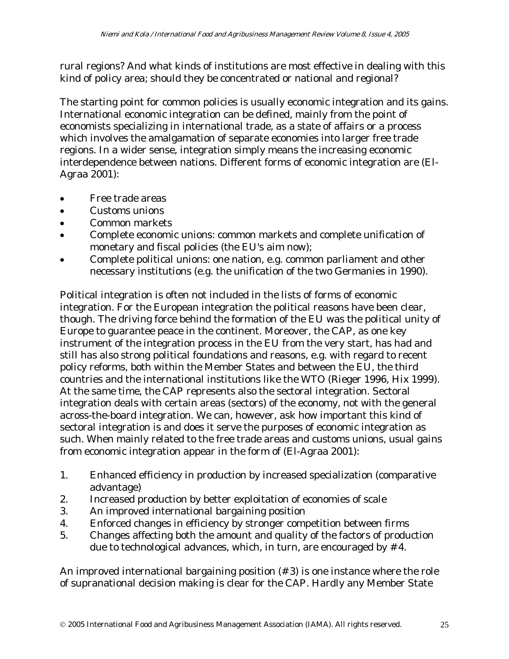rural regions? And what kinds of institutions are most effective in dealing with this kind of policy area; should they be concentrated or national and regional?

The starting point for common policies is usually economic integration and its gains. International economic integration can be defined, mainly from the point of economists specializing in international trade, as a state of affairs or a process which involves the amalgamation of separate economies into larger free trade regions. In a wider sense, integration simply means the increasing economic interdependence between nations. Different forms of economic integration are (El-Agraa 2001):

- Free trade areas
- Customs unions
- Common markets
- Complete economic unions: common markets and complete unification of monetary and fiscal policies (the EU's aim now);
- Complete political unions: one nation, e.g. common parliament and other necessary institutions (e.g. the unification of the two Germanies in 1990).

Political integration is often not included in the lists of forms of economic integration. For the European integration the political reasons have been clear, though. The driving force behind the formation of the EU was the political unity of Europe to guarantee peace in the continent. Moreover, the CAP, as one key instrument of the integration process in the EU from the very start, has had and still has also strong political foundations and reasons, e.g. with regard to recent policy reforms, both within the Member States and between the EU, the third countries and the international institutions like the WTO (Rieger 1996, Hix 1999). At the same time, the CAP represents also the sectoral integration. Sectoral integration deals with certain areas (sectors) of the economy, not with the general across-the-board integration. We can, however, ask how important this kind of sectoral integration is and does it serve the purposes of economic integration as such. When mainly related to the free trade areas and customs unions, usual gains from economic integration appear in the form of (El-Agraa 2001):

- 1. Enhanced efficiency in production by increased specialization (comparative advantage)
- 2. Increased production by better exploitation of economies of scale
- 3. An improved international bargaining position
- 4. Enforced changes in efficiency by stronger competition between firms
- 5. Changes affecting both the amount and quality of the factors of production due to technological advances, which, in turn, are encouraged by # 4.

An improved international bargaining position (# 3) is one instance where the role of supranational decision making is clear for the CAP. Hardly any Member State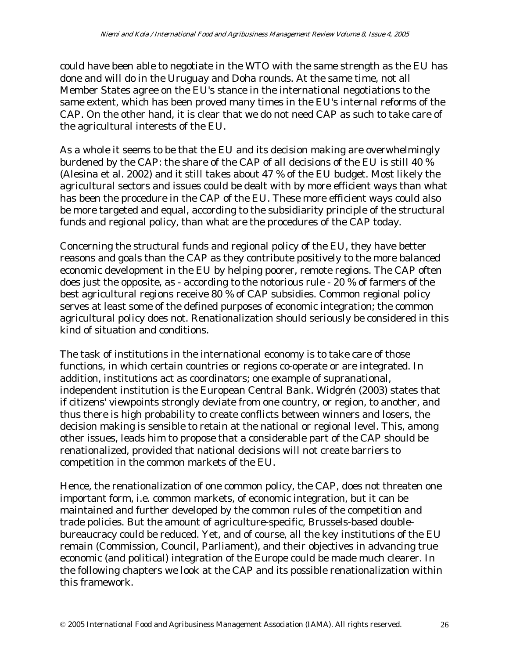could have been able to negotiate in the WTO with the same strength as the EU has done and will do in the Uruguay and Doha rounds. At the same time, not all Member States agree on the EU's stance in the international negotiations to the same extent, which has been proved many times in the EU's internal reforms of the CAP. On the other hand, it is clear that we do not need CAP as such to take care of the agricultural interests of the EU.

As a whole it seems to be that the EU and its decision making are overwhelmingly burdened by the CAP: the share of the CAP of all decisions of the EU is still 40 % (Alesina et al. 2002) and it still takes about 47 % of the EU budget. Most likely the agricultural sectors and issues could be dealt with by more efficient ways than what has been the procedure in the CAP of the EU. These more efficient ways could also be more targeted and equal, according to the subsidiarity principle of the structural funds and regional policy, than what are the procedures of the CAP today.

Concerning the structural funds and regional policy of the EU, they have better reasons and goals than the CAP as they contribute positively to the more balanced economic development in the EU by helping poorer, remote regions. The CAP often does just the opposite, as - according to the notorious rule - 20 % of farmers of the best agricultural regions receive 80 % of CAP subsidies. Common regional policy serves at least some of the defined purposes of economic integration; the common agricultural policy does not. Renationalization should seriously be considered in this kind of situation and conditions.

The task of institutions in the international economy is to take care of those functions, in which certain countries or regions co-operate or are integrated. In addition, institutions act as coordinators; one example of supranational, independent institution is the European Central Bank. Widgrén (2003) states that if citizens' viewpoints strongly deviate from one country, or region, to another, and thus there is high probability to create conflicts between winners and losers, the decision making is sensible to retain at the national or regional level. This, among other issues, leads him to propose that a considerable part of the CAP should be renationalized, provided that national decisions will not create barriers to competition in the common markets of the EU.

Hence, the renationalization of one common policy, the CAP, does not threaten one important form, i.e. common markets, of economic integration, but it can be maintained and further developed by the common rules of the competition and trade policies. But the amount of agriculture-specific, Brussels-based doublebureaucracy could be reduced. Yet, and of course, all the key institutions of the EU remain (Commission, Council, Parliament), and their objectives in advancing true economic (and political) integration of the Europe could be made much clearer. In the following chapters we look at the CAP and its possible renationalization within this framework.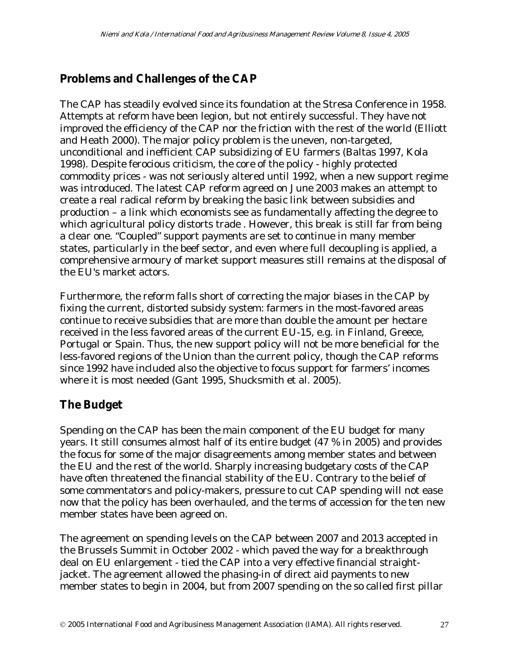## **Problems and Challenges of the CAP**

The CAP has steadily evolved since its foundation at the Stresa Conference in 1958. Attempts at reform have been legion, but not entirely successful. They have not improved the efficiency of the CAP nor the friction with the rest of the world (Elliott and Heath 2000). The major policy problem is the uneven, non-targeted, unconditional and inefficient CAP subsidizing of EU farmers (Baltas 1997, Kola 1998). Despite ferocious criticism, the core of the policy - highly protected commodity prices - was not seriously altered until 1992, when a new support regime was introduced. The latest CAP reform agreed on June 2003 makes an attempt to create a real radical reform by breaking the basic link between subsidies and production – a link which economists see as fundamentally affecting the degree to which agricultural policy distorts trade . However, this break is still far from being a clear one. "Coupled" support payments are set to continue in many member states, particularly in the beef sector, and even where full decoupling is applied, a comprehensive armoury of market support measures still remains at the disposal of the EU's market actors.

Furthermore, the reform falls short of correcting the major biases in the CAP by fixing the current, distorted subsidy system: farmers in the most-favored areas continue to receive subsidies that are more than double the amount per hectare received in the less favored areas of the current EU-15, e.g. in Finland, Greece, Portugal or Spain. Thus, the new support policy will not be more beneficial for the less-favored regions of the Union than the current policy, though the CAP reforms since 1992 have included also the objective to focus support for farmers' incomes where it is most needed (Gant 1995, Shucksmith et al. 2005).

### **The Budget**

Spending on the CAP has been the main component of the EU budget for many years. It still consumes almost half of its entire budget (47 % in 2005) and provides the focus for some of the major disagreements among member states and between the EU and the rest of the world. Sharply increasing budgetary costs of the CAP have often threatened the financial stability of the EU. Contrary to the belief of some commentators and policy-makers, pressure to cut CAP spending will not ease now that the policy has been overhauled, and the terms of accession for the ten new member states have been agreed on.

The agreement on spending levels on the CAP between 2007 and 2013 accepted in the Brussels Summit in October 2002 - which paved the way for a breakthrough deal on EU enlargement - tied the CAP into a very effective financial straightjacket. The agreement allowed the phasing-in of direct aid payments to new member states to begin in 2004, but from 2007 spending on the so called first pillar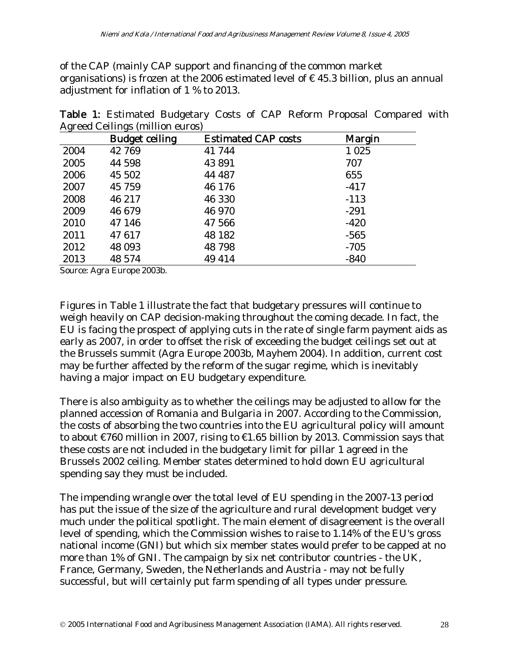of the CAP (mainly CAP support and financing of the common market organisations) is frozen at the 2006 estimated level of  $\epsilon$  45.3 billion, plus an annual adjustment for inflation of 1 % to 2013.

| $\epsilon$ , | $\cdots$<br><b>Budget ceiling</b> | <b>Estimated CAP costs</b> | Margin  |
|--------------|-----------------------------------|----------------------------|---------|
| 2004         | 42 769                            | 41 744                     | 1 0 2 5 |
| 2005         | 44 598                            | 43 891                     | 707     |
| 2006         | 45 502                            | 44 487                     | 655     |
| 2007         | 45 759                            | 46 176                     | $-417$  |
| 2008         | 46 217                            | 46 330                     | $-113$  |
| 2009         | 46 679                            | 46 970                     | $-291$  |
| 2010         | 47 146                            | 47 566                     | $-420$  |
| 2011         | 47617                             | 48 182                     | $-565$  |
| 2012         | 48 093                            | 48 798                     | $-705$  |
| 2013         | 48 574                            | 49 414                     | $-840$  |

Table 1: Estimated Budgetary Costs of CAP Reform Proposal Compared with Agreed Ceilings (million euros)

Source: Agra Europe 2003b.

Figures in Table 1 illustrate the fact that budgetary pressures will continue to weigh heavily on CAP decision-making throughout the coming decade. In fact, the EU is facing the prospect of applying cuts in the rate of single farm payment aids as early as 2007, in order to offset the risk of exceeding the budget ceilings set out at the Brussels summit (Agra Europe 2003b, Mayhem 2004). In addition, current cost may be further affected by the reform of the sugar regime, which is inevitably having a major impact on EU budgetary expenditure.

There is also ambiguity as to whether the ceilings may be adjusted to allow for the planned accession of Romania and Bulgaria in 2007. According to the Commission, the costs of absorbing the two countries into the EU agricultural policy will amount to about €760 million in 2007, rising to €1.65 billion by 2013. Commission says that these costs are not included in the budgetary limit for pillar 1 agreed in the Brussels 2002 ceiling. Member states determined to hold down EU agricultural spending say they must be included.

The impending wrangle over the total level of EU spending in the 2007-13 period has put the issue of the size of the agriculture and rural development budget very much under the political spotlight. The main element of disagreement is the overall level of spending, which the Commission wishes to raise to 1.14% of the EU's gross national income (GNI) but which six member states would prefer to be capped at no more than 1% of GNI. The campaign by six net contributor countries - the UK, France, Germany, Sweden, the Netherlands and Austria - may not be fully successful, but will certainly put farm spending of all types under pressure.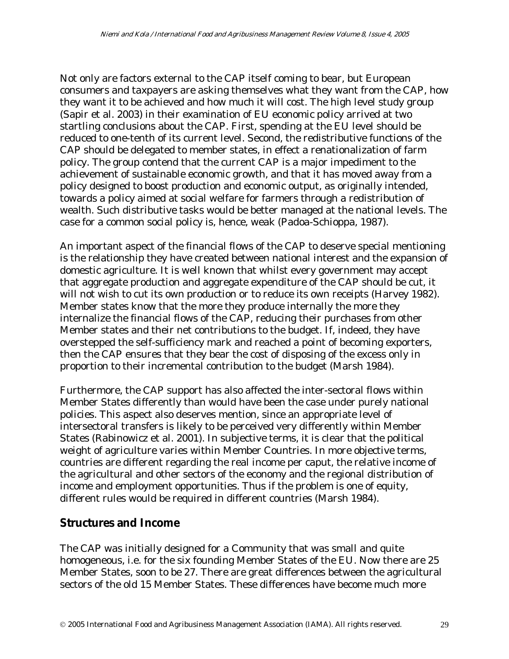Not only are factors external to the CAP itself coming to bear, but European consumers and taxpayers are asking themselves what they want from the CAP, how they want it to be achieved and how much it will cost. The high level study group (Sapir et al. 2003) in their examination of EU economic policy arrived at two startling conclusions about the CAP. First, spending at the EU level should be reduced to one-tenth of its current level. Second, the redistributive functions of the CAP should be delegated to member states, in effect a renationalization of farm policy. The group contend that the current CAP is a major impediment to the achievement of sustainable economic growth, and that it has moved away from a policy designed to boost production and economic output, as originally intended, towards a policy aimed at social welfare for farmers through a redistribution of wealth. Such distributive tasks would be better managed at the national levels. The case for a common social policy is, hence, weak (Padoa-Schioppa, 1987).

An important aspect of the financial flows of the CAP to deserve special mentioning is the relationship they have created between national interest and the expansion of domestic agriculture. It is well known that whilst every government may accept that aggregate production and aggregate expenditure of the CAP should be cut, it will not wish to cut its own production or to reduce its own receipts (Harvey 1982). Member states know that the more they produce internally the more they internalize the financial flows of the CAP, reducing their purchases from other Member states and their net contributions to the budget. If, indeed, they have overstepped the self-sufficiency mark and reached a point of becoming exporters, then the CAP ensures that they bear the cost of disposing of the excess only in proportion to their incremental contribution to the budget (Marsh 1984).

Furthermore, the CAP support has also affected the inter-sectoral flows within Member States differently than would have been the case under purely national policies. This aspect also deserves mention, since an appropriate level of intersectoral transfers is likely to be perceived very differently within Member States (Rabinowicz et al. 2001). In subjective terms, it is clear that the political weight of agriculture varies within Member Countries. In more objective terms, countries are different regarding the real income per caput, the relative income of the agricultural and other sectors of the economy and the regional distribution of income and employment opportunities. Thus if the problem is one of equity, different rules would be required in different countries (Marsh 1984).

#### **Structures and Income**

The CAP was initially designed for a Community that was small and quite homogeneous, i.e. for the six founding Member States of the EU. Now there are 25 Member States, soon to be 27. There are great differences between the agricultural sectors of the old 15 Member States. These differences have become much more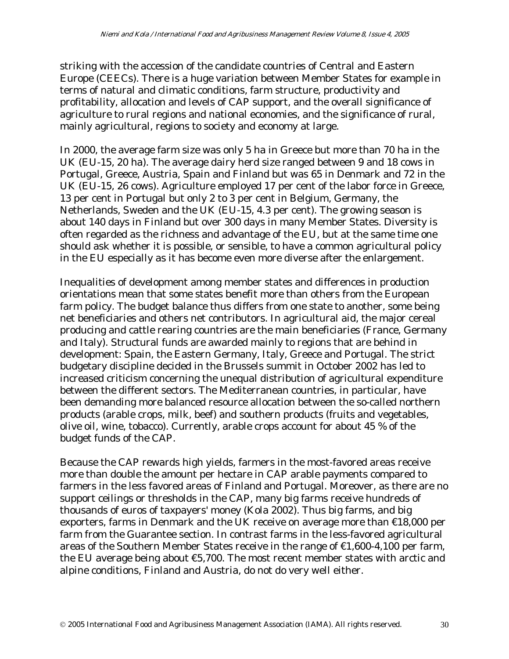striking with the accession of the candidate countries of Central and Eastern Europe (CEECs). There is a huge variation between Member States for example in terms of natural and climatic conditions, farm structure, productivity and profitability, allocation and levels of CAP support, and the overall significance of agriculture to rural regions and national economies, and the significance of rural, mainly agricultural, regions to society and economy at large.

In 2000, the average farm size was only 5 ha in Greece but more than 70 ha in the UK (EU-15, 20 ha). The average dairy herd size ranged between 9 and 18 cows in Portugal, Greece, Austria, Spain and Finland but was 65 in Denmark and 72 in the UK (EU-15, 26 cows). Agriculture employed 17 per cent of the labor force in Greece, 13 per cent in Portugal but only 2 to 3 per cent in Belgium, Germany, the Netherlands, Sweden and the UK (EU-15, 4.3 per cent). The growing season is about 140 days in Finland but over 300 days in many Member States. Diversity is often regarded as the richness and advantage of the EU, but at the same time one should ask whether it is possible, or sensible, to have a common agricultural policy in the EU especially as it has become even more diverse after the enlargement.

Inequalities of development among member states and differences in production orientations mean that some states benefit more than others from the European farm policy. The budget balance thus differs from one state to another, some being net beneficiaries and others net contributors. In agricultural aid, the major cereal producing and cattle rearing countries are the main beneficiaries (France, Germany and Italy). Structural funds are awarded mainly to regions that are behind in development: Spain, the Eastern Germany, Italy, Greece and Portugal. The strict budgetary discipline decided in the Brussels summit in October 2002 has led to increased criticism concerning the unequal distribution of agricultural expenditure between the different sectors. The Mediterranean countries, in particular, have been demanding more balanced resource allocation between the so-called northern products (arable crops, milk, beef) and southern products (fruits and vegetables, olive oil, wine, tobacco). Currently, arable crops account for about 45 % of the budget funds of the CAP.

Because the CAP rewards high yields, farmers in the most-favored areas receive more than double the amount per hectare in CAP arable payments compared to farmers in the less favored areas of Finland and Portugal. Moreover, as there are no support ceilings or thresholds in the CAP, many big farms receive hundreds of thousands of euros of taxpayers' money (Kola 2002). Thus big farms, and big exporters, farms in Denmark and the UK receive on average more than €18,000 per farm from the Guarantee section. In contrast farms in the less-favored agricultural areas of the Southern Member States receive in the range of  $\epsilon$ 1,600-4,100 per farm, the EU average being about  $\epsilon$ 5,700. The most recent member states with arctic and alpine conditions, Finland and Austria, do not do very well either.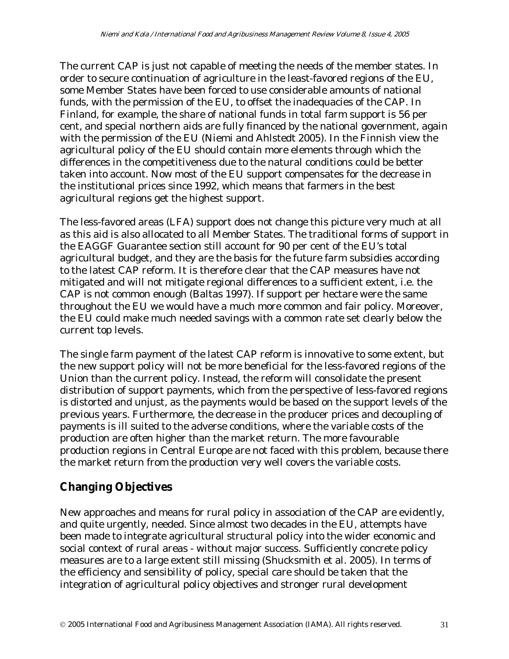The current CAP is just not capable of meeting the needs of the member states. In order to secure continuation of agriculture in the least-favored regions of the EU, some Member States have been forced to use considerable amounts of national funds, with the permission of the EU, to offset the inadequacies of the CAP. In Finland, for example, the share of national funds in total farm support is 56 per cent, and special northern aids are fully financed by the national government, again with the permission of the EU (Niemi and Ahlstedt 2005). In the Finnish view the agricultural policy of the EU should contain more elements through which the differences in the competitiveness due to the natural conditions could be better taken into account. Now most of the EU support compensates for the decrease in the institutional prices since 1992, which means that farmers in the best agricultural regions get the highest support.

The less-favored areas (LFA) support does not change this picture very much at all as this aid is also allocated to all Member States. The traditional forms of support in the EAGGF Guarantee section still account for 90 per cent of the EU's total agricultural budget, and they are the basis for the future farm subsidies according to the latest CAP reform. It is therefore clear that the CAP measures have not mitigated and will not mitigate regional differences to a sufficient extent, i.e. the CAP is not common enough (Baltas 1997). If support per hectare were the same throughout the EU we would have a much more common and fair policy. Moreover, the EU could make much needed savings with a common rate set clearly below the current top levels.

The single farm payment of the latest CAP reform is innovative to some extent, but the new support policy will not be more beneficial for the less-favored regions of the Union than the current policy. Instead, the reform will consolidate the present distribution of support payments, which from the perspective of less-favored regions is distorted and unjust, as the payments would be based on the support levels of the previous years. Furthermore, the decrease in the producer prices and decoupling of payments is ill suited to the adverse conditions, where the variable costs of the production are often higher than the market return. The more favourable production regions in Central Europe are not faced with this problem, because there the market return from the production very well covers the variable costs.

## **Changing Objectives**

New approaches and means for rural policy in association of the CAP are evidently, and quite urgently, needed. Since almost two decades in the EU, attempts have been made to integrate agricultural structural policy into the wider economic and social context of rural areas - without major success. Sufficiently concrete policy measures are to a large extent still missing (Shucksmith et al. 2005). In terms of the efficiency and sensibility of policy, special care should be taken that the integration of agricultural policy objectives and stronger rural development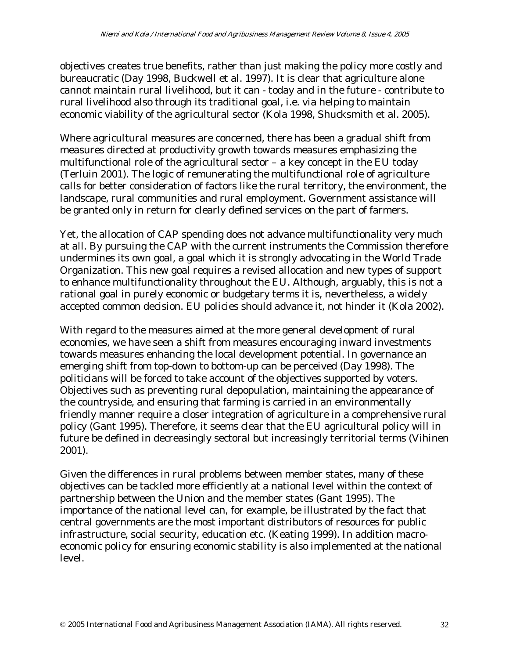objectives creates true benefits, rather than just making the policy more costly and bureaucratic (Day 1998, Buckwell et al. 1997). It is clear that agriculture alone cannot maintain rural livelihood, but it can - today and in the future - contribute to rural livelihood also through its traditional goal, i.e. via helping to maintain economic viability of the agricultural sector (Kola 1998, Shucksmith et al. 2005).

Where agricultural measures are concerned, there has been a gradual shift from measures directed at productivity growth towards measures emphasizing the multifunctional role of the agricultural sector – a key concept in the EU today (Terluin 2001). The logic of remunerating the multifunctional role of agriculture calls for better consideration of factors like the rural territory, the environment, the landscape, rural communities and rural employment. Government assistance will be granted only in return for clearly defined services on the part of farmers.

Yet, the allocation of CAP spending does not advance multifunctionality very much at all. By pursuing the CAP with the current instruments the Commission therefore undermines its own goal, a goal which it is strongly advocating in the World Trade Organization. This new goal requires a revised allocation and new types of support to enhance multifunctionality throughout the EU. Although, arguably, this is not a rational goal in purely economic or budgetary terms it is, nevertheless, a widely accepted common decision. EU policies should advance it, not hinder it (Kola 2002).

With regard to the measures aimed at the more general development of rural economies, we have seen a shift from measures encouraging inward investments towards measures enhancing the local development potential. In governance an emerging shift from top-down to bottom-up can be perceived (Day 1998). The politicians will be forced to take account of the objectives supported by voters. Objectives such as preventing rural depopulation, maintaining the appearance of the countryside, and ensuring that farming is carried in an environmentally friendly manner require a closer integration of agriculture in a comprehensive rural policy (Gant 1995). Therefore, it seems clear that the EU agricultural policy will in future be defined in decreasingly sectoral but increasingly territorial terms (Vihinen 2001).

Given the differences in rural problems between member states, many of these objectives can be tackled more efficiently at a national level within the context of partnership between the Union and the member states (Gant 1995). The importance of the national level can, for example, be illustrated by the fact that central governments are the most important distributors of resources for public infrastructure, social security, education etc. (Keating 1999). In addition macroeconomic policy for ensuring economic stability is also implemented at the national level.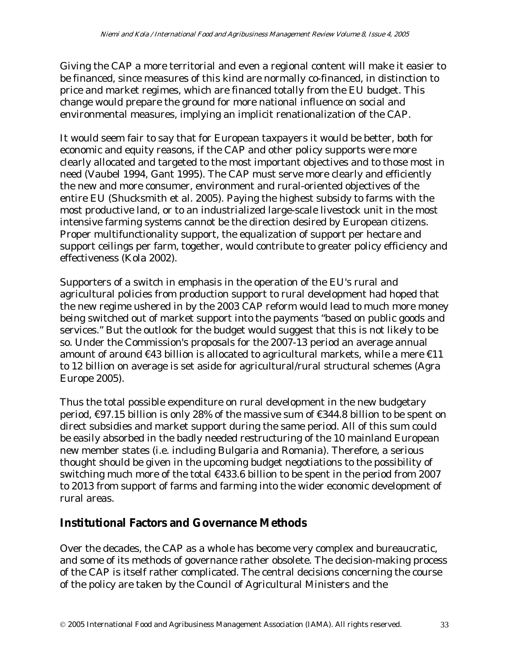Giving the CAP a more territorial and even a regional content will make it easier to be financed, since measures of this kind are normally co-financed, in distinction to price and market regimes, which are financed totally from the EU budget. This change would prepare the ground for more national influence on social and environmental measures, implying an implicit renationalization of the CAP.

It would seem fair to say that for European taxpayers it would be better, both for economic and equity reasons, if the CAP and other policy supports were more clearly allocated and targeted to the most important objectives and to those most in need (Vaubel 1994, Gant 1995). The CAP must serve more clearly and efficiently the new and more consumer, environment and rural-oriented objectives of the entire EU (Shucksmith et al. 2005). Paying the highest subsidy to farms with the most productive land, or to an industrialized large-scale livestock unit in the most intensive farming systems cannot be the direction desired by European citizens. Proper multifunctionality support, the equalization of support per hectare and support ceilings per farm, together, would contribute to greater policy efficiency and effectiveness (Kola 2002).

Supporters of a switch in emphasis in the operation of the EU's rural and agricultural policies from production support to rural development had hoped that the new regime ushered in by the 2003 CAP reform would lead to much more money being switched out of market support into the payments "based on public goods and services." But the outlook for the budget would suggest that this is not likely to be so. Under the Commission's proposals for the 2007-13 period an average annual amount of around  $\epsilon$ 43 billion is allocated to agricultural markets, while a mere  $\epsilon$ 11 to 12 billion on average is set aside for agricultural/rural structural schemes (Agra Europe 2005).

Thus the total possible expenditure on rural development in the new budgetary period, €97.15 billion is only 28% of the massive sum of €344.8 billion to be spent on direct subsidies and market support during the same period. All of this sum could be easily absorbed in the badly needed restructuring of the 10 mainland European new member states (i.e. including Bulgaria and Romania). Therefore, a serious thought should be given in the upcoming budget negotiations to the possibility of switching much more of the total €433.6 billion to be spent in the period from 2007 to 2013 from support of farms and farming into the wider economic development of rural areas.

### **Institutional Factors and Governance Methods**

Over the decades, the CAP as a whole has become very complex and bureaucratic, and some of its methods of governance rather obsolete. The decision-making process of the CAP is itself rather complicated. The central decisions concerning the course of the policy are taken by the Council of Agricultural Ministers and the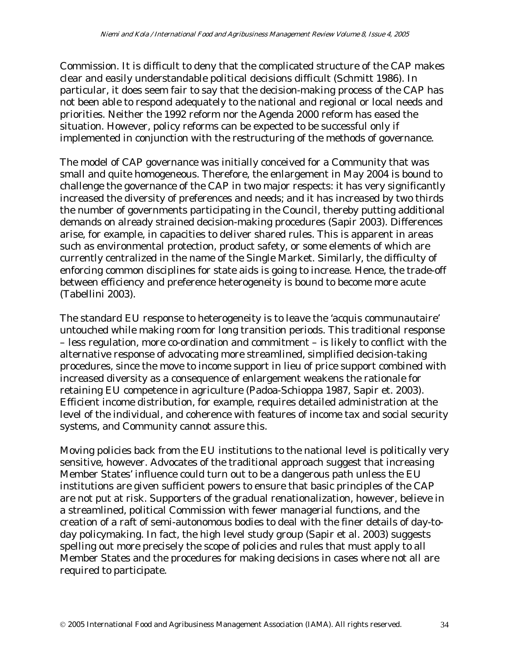Commission. It is difficult to deny that the complicated structure of the CAP makes clear and easily understandable political decisions difficult (Schmitt 1986). In particular, it does seem fair to say that the decision-making process of the CAP has not been able to respond adequately to the national and regional or local needs and priorities. Neither the 1992 reform nor the Agenda 2000 reform has eased the situation. However, policy reforms can be expected to be successful only if implemented in conjunction with the restructuring of the methods of governance.

The model of CAP governance was initially conceived for a Community that was small and quite homogeneous. Therefore, the enlargement in May 2004 is bound to challenge the governance of the CAP in two major respects: it has very significantly increased the diversity of preferences and needs; and it has increased by two thirds the number of governments participating in the Council, thereby putting additional demands on already strained decision-making procedures (Sapir 2003). Differences arise, for example, in capacities to deliver shared rules. This is apparent in areas such as environmental protection, product safety, or some elements of which are currently centralized in the name of the Single Market. Similarly, the difficulty of enforcing common disciplines for state aids is going to increase. Hence, the trade-off between efficiency and preference heterogeneity is bound to become more acute (Tabellini 2003).

The standard EU response to heterogeneity is to leave the 'acquis communautaire' untouched while making room for long transition periods. This traditional response – less regulation, more co-ordination and commitment – is likely to conflict with the alternative response of advocating more streamlined, simplified decision-taking procedures, since the move to income support in lieu of price support combined with increased diversity as a consequence of enlargement weakens the rationale for retaining EU competence in agriculture (Padoa-Schioppa 1987, Sapir et. 2003). Efficient income distribution, for example, requires detailed administration at the level of the individual, and coherence with features of income tax and social security systems, and Community cannot assure this.

Moving policies back from the EU institutions to the national level is politically very sensitive, however. Advocates of the traditional approach suggest that increasing Member States' influence could turn out to be a dangerous path unless the EU institutions are given sufficient powers to ensure that basic principles of the CAP are not put at risk. Supporters of the gradual renationalization, however, believe in a streamlined, political Commission with fewer managerial functions, and the creation of a raft of semi-autonomous bodies to deal with the finer details of day-today policymaking. In fact, the high level study group (Sapir et al. 2003) suggests spelling out more precisely the scope of policies and rules that must apply to all Member States and the procedures for making decisions in cases where not all are required to participate.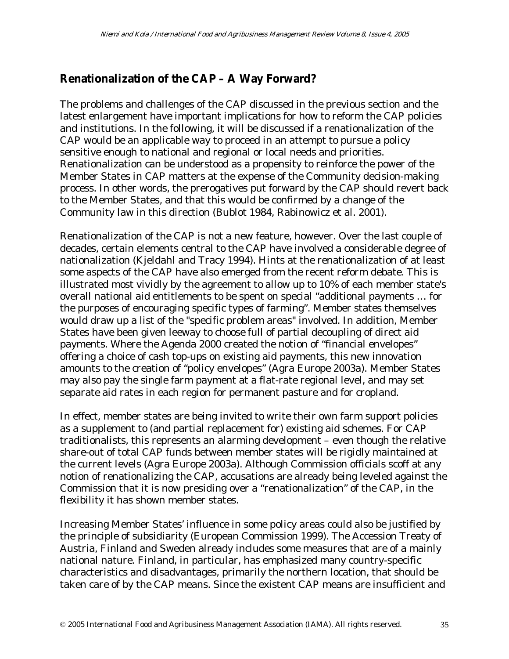### **Renationalization of the CAP – A Way Forward?**

The problems and challenges of the CAP discussed in the previous section and the latest enlargement have important implications for how to reform the CAP policies and institutions. In the following, it will be discussed if a renationalization of the CAP would be an applicable way to proceed in an attempt to pursue a policy sensitive enough to national and regional or local needs and priorities. Renationalization can be understood as a propensity to reinforce the power of the Member States in CAP matters at the expense of the Community decision-making process. In other words, the prerogatives put forward by the CAP should revert back to the Member States, and that this would be confirmed by a change of the Community law in this direction (Bublot 1984, Rabinowicz et al. 2001).

Renationalization of the CAP is not a new feature, however. Over the last couple of decades, certain elements central to the CAP have involved a considerable degree of nationalization (Kjeldahl and Tracy 1994). Hints at the renationalization of at least some aspects of the CAP have also emerged from the recent reform debate. This is illustrated most vividly by the agreement to allow up to 10% of each member state's overall national aid entitlements to be spent on special "additional payments … for the purposes of encouraging specific types of farming". Member states themselves would draw up a list of the "specific problem areas" involved. In addition, Member States have been given leeway to choose full of partial decoupling of direct aid payments. Where the Agenda 2000 created the notion of "financial envelopes" offering a choice of cash top-ups on existing aid payments, this new innovation amounts to the creation of "policy envelopes" (Agra Europe 2003a). Member States may also pay the single farm payment at a flat-rate regional level, and may set separate aid rates in each region for permanent pasture and for cropland.

In effect, member states are being invited to write their own farm support policies as a supplement to (and partial replacement for) existing aid schemes. For CAP traditionalists, this represents an alarming development – even though the relative share-out of total CAP funds between member states will be rigidly maintained at the current levels (Agra Europe 2003a). Although Commission officials scoff at any notion of renationalizing the CAP, accusations are already being leveled against the Commission that it is now presiding over a "renationalization" of the CAP, in the flexibility it has shown member states.

Increasing Member States' influence in some policy areas could also be justified by the principle of subsidiarity (European Commission 1999). The Accession Treaty of Austria, Finland and Sweden already includes some measures that are of a mainly national nature. Finland, in particular, has emphasized many country-specific characteristics and disadvantages, primarily the northern location, that should be taken care of by the CAP means. Since the existent CAP means are insufficient and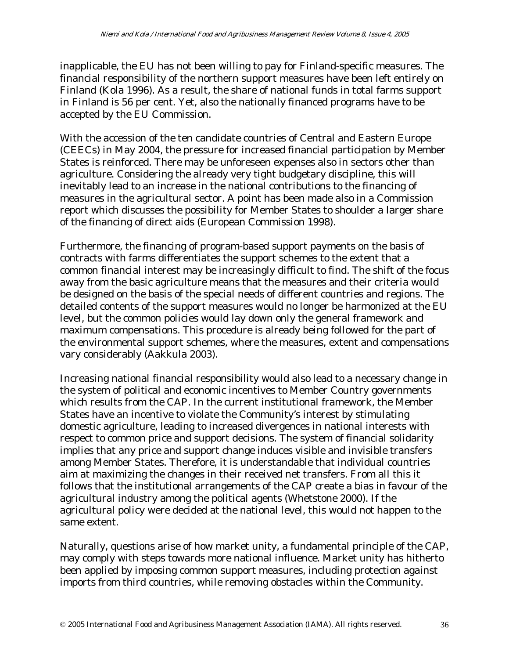inapplicable, the EU has not been willing to pay for Finland-specific measures. The financial responsibility of the northern support measures have been left entirely on Finland (Kola 1996). As a result, the share of national funds in total farms support in Finland is 56 per cent. Yet, also the nationally financed programs have to be accepted by the EU Commission.

With the accession of the ten candidate countries of Central and Eastern Europe (CEECs) in May 2004, the pressure for increased financial participation by Member States is reinforced. There may be unforeseen expenses also in sectors other than agriculture. Considering the already very tight budgetary discipline, this will inevitably lead to an increase in the national contributions to the financing of measures in the agricultural sector. A point has been made also in a Commission report which discusses the possibility for Member States to shoulder a larger share of the financing of direct aids (European Commission 1998).

Furthermore, the financing of program-based support payments on the basis of contracts with farms differentiates the support schemes to the extent that a common financial interest may be increasingly difficult to find. The shift of the focus away from the basic agriculture means that the measures and their criteria would be designed on the basis of the special needs of different countries and regions. The detailed contents of the support measures would no longer be harmonized at the EU level, but the common policies would lay down only the general framework and maximum compensations. This procedure is already being followed for the part of the environmental support schemes, where the measures, extent and compensations vary considerably (Aakkula 2003).

Increasing national financial responsibility would also lead to a necessary change in the system of political and economic incentives to Member Country governments which results from the CAP. In the current institutional framework, the Member States have an incentive to violate the Community's interest by stimulating domestic agriculture, leading to increased divergences in national interests with respect to common price and support decisions. The system of financial solidarity implies that any price and support change induces visible and invisible transfers among Member States. Therefore, it is understandable that individual countries aim at maximizing the changes in their received net transfers. From all this it follows that the institutional arrangements of the CAP create a bias in favour of the agricultural industry among the political agents (Whetstone 2000). If the agricultural policy were decided at the national level, this would not happen to the same extent.

Naturally, questions arise of how market unity, a fundamental principle of the CAP, may comply with steps towards more national influence. Market unity has hitherto been applied by imposing common support measures, including protection against imports from third countries, while removing obstacles within the Community.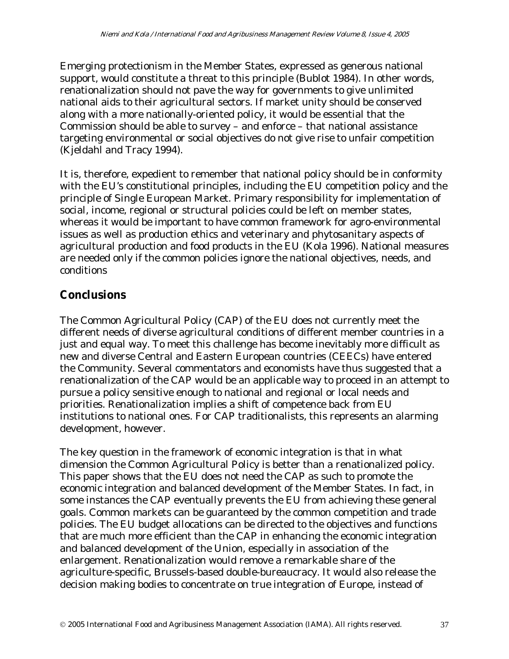Emerging protectionism in the Member States, expressed as generous national support, would constitute a threat to this principle (Bublot 1984). In other words, renationalization should not pave the way for governments to give unlimited national aids to their agricultural sectors. If market unity should be conserved along with a more nationally-oriented policy, it would be essential that the Commission should be able to survey – and enforce – that national assistance targeting environmental or social objectives do not give rise to unfair competition (Kjeldahl and Tracy 1994).

It is, therefore, expedient to remember that national policy should be in conformity with the EU's constitutional principles, including the EU competition policy and the principle of Single European Market. Primary responsibility for implementation of social, income, regional or structural policies could be left on member states, whereas it would be important to have common framework for agro-environmental issues as well as production ethics and veterinary and phytosanitary aspects of agricultural production and food products in the EU (Kola 1996). National measures are needed only if the common policies ignore the national objectives, needs, and conditions

## **Conclusions**

The Common Agricultural Policy (CAP) of the EU does not currently meet the different needs of diverse agricultural conditions of different member countries in a just and equal way. To meet this challenge has become inevitably more difficult as new and diverse Central and Eastern European countries (CEECs) have entered the Community. Several commentators and economists have thus suggested that a renationalization of the CAP would be an applicable way to proceed in an attempt to pursue a policy sensitive enough to national and regional or local needs and priorities. Renationalization implies a shift of competence back from EU institutions to national ones. For CAP traditionalists, this represents an alarming development, however.

The key question in the framework of economic integration is that in what dimension the Common Agricultural Policy is better than a renationalized policy. This paper shows that the EU does not need the CAP as such to promote the economic integration and balanced development of the Member States. In fact, in some instances the CAP eventually prevents the EU from achieving these general goals. Common markets can be guaranteed by the common competition and trade policies. The EU budget allocations can be directed to the objectives and functions that are much more efficient than the CAP in enhancing the economic integration and balanced development of the Union, especially in association of the enlargement. Renationalization would remove a remarkable share of the agriculture-specific, Brussels-based double-bureaucracy. It would also release the decision making bodies to concentrate on true integration of Europe, instead of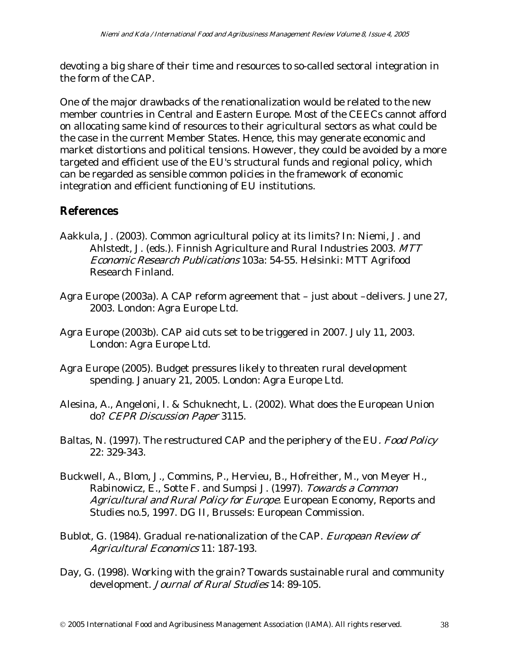devoting a big share of their time and resources to so-called sectoral integration in the form of the CAP.

One of the major drawbacks of the renationalization would be related to the new member countries in Central and Eastern Europe. Most of the CEECs cannot afford on allocating same kind of resources to their agricultural sectors as what could be the case in the current Member States. Hence, this may generate economic and market distortions and political tensions. However, they could be avoided by a more targeted and efficient use of the EU's structural funds and regional policy, which can be regarded as sensible common policies in the framework of economic integration and efficient functioning of EU institutions.

#### **References**

- Aakkula, J. (2003). Common agricultural policy at its limits? In: Niemi, J. and Ahlstedt, J. (eds.). Finnish Agriculture and Rural Industries 2003. MTT Economic Research Publications 103a: 54-55. Helsinki: MTT Agrifood Research Finland.
- Agra Europe (2003a). A CAP reform agreement that just about –delivers. June 27, 2003. London: Agra Europe Ltd.
- Agra Europe (2003b). CAP aid cuts set to be triggered in 2007. July 11, 2003. London: Agra Europe Ltd.
- Agra Europe (2005). Budget pressures likely to threaten rural development spending. January 21, 2005. London: Agra Europe Ltd.
- Alesina, A., Angeloni, I. & Schuknecht, L. (2002). What does the European Union do? CEPR Discussion Paper 3115.
- Baltas, N. (1997). The restructured CAP and the periphery of the EU. Food Policy 22: 329-343.
- Buckwell, A., Blom, J., Commins, P., Hervieu, B., Hofreither, M., von Meyer H., Rabinowicz, E., Sotte F. and Sumpsi J. (1997). Towards a Common Agricultural and Rural Policy for Europe. European Economy, Reports and Studies no.5, 1997. DG II, Brussels: European Commission.
- Bublot, G. (1984). Gradual re-nationalization of the CAP. European Review of Agricultural Economics 11: 187-193.
- Day, G. (1998). Working with the grain? Towards sustainable rural and community development. Journal of Rural Studies 14: 89-105.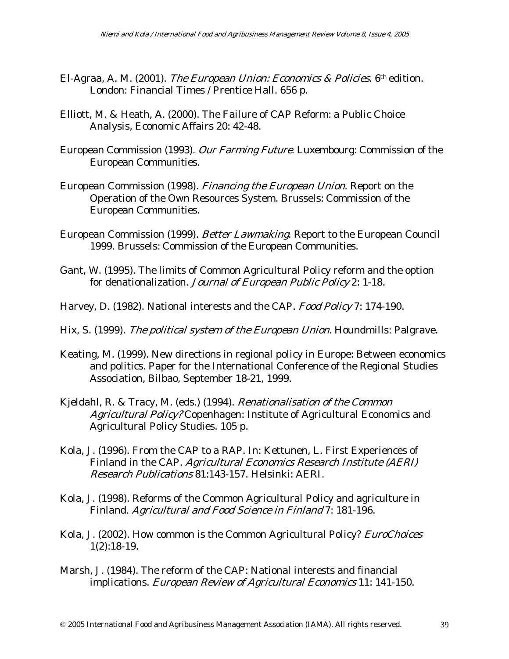- El-Agraa, A. M. (2001). The European Union: Economics & Policies. 6th edition. London: Financial Times / Prentice Hall. 656 p.
- Elliott, M. & Heath, A. (2000). The Failure of CAP Reform: a Public Choice Analysis, Economic Affairs 20: 42-48.
- European Commission (1993). Our Farming Future. Luxembourg: Commission of the European Communities.
- European Commission (1998). Financing the European Union. Report on the Operation of the Own Resources System. Brussels: Commission of the European Communities.
- European Commission (1999). Better Lawmaking. Report to the European Council 1999. Brussels: Commission of the European Communities.
- Gant, W. (1995). The limits of Common Agricultural Policy reform and the option for denationalization. Journal of European Public Policy 2: 1-18.
- Harvey, D. (1982). National interests and the CAP. Food Policy 7: 174-190.
- Hix, S. (1999). The political system of the European Union. Houndmills: Palgrave.
- Keating, M. (1999). New directions in regional policy in Europe: Between economics and politics. Paper for the International Conference of the Regional Studies Association, Bilbao, September 18-21, 1999.
- Kjeldahl, R. & Tracy, M. (eds.) (1994). Renationalisation of the Common Agricultural Policy? Copenhagen: Institute of Agricultural Economics and Agricultural Policy Studies. 105 p.
- Kola, J. (1996). From the CAP to a RAP. In: Kettunen, L. First Experiences of Finland in the CAP. Agricultural Economics Research Institute (AERI) Research Publications 81:143-157. Helsinki: AERI.
- Kola, J. (1998). Reforms of the Common Agricultural Policy and agriculture in Finland. Agricultural and Food Science in Finland 7: 181-196.
- Kola, J. (2002). How common is the Common Agricultural Policy? EuroChoices 1(2):18-19.
- Marsh, J. (1984). The reform of the CAP: National interests and financial implications. European Review of Agricultural Economics 11: 141-150.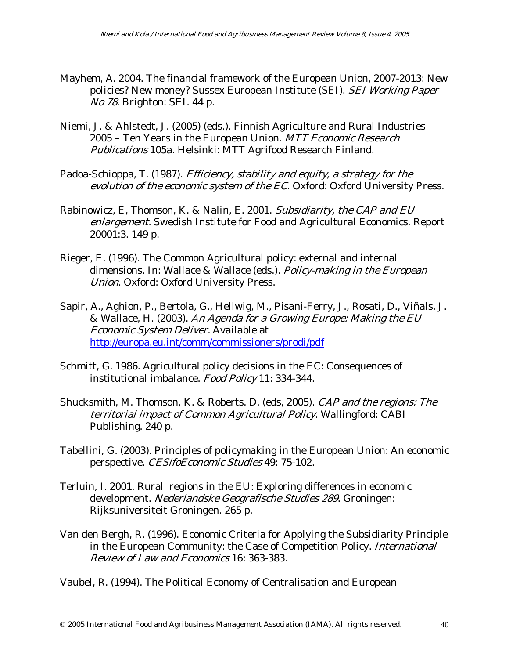- Mayhem, A. 2004. The financial framework of the European Union, 2007-2013: New policies? New money? Sussex European Institute (SEI). SEI Working Paper No 78. Brighton: SEI. 44 p.
- Niemi, J. & Ahlstedt, J. (2005) (eds.). Finnish Agriculture and Rural Industries 2005 – Ten Years in the European Union. MTT Economic Research Publications 105a. Helsinki: MTT Agrifood Research Finland.
- Padoa-Schioppa, T. (1987). Efficiency, stability and equity, a strategy for the evolution of the economic system of the EC. Oxford: Oxford University Press.
- Rabinowicz, E, Thomson, K. & Nalin, E. 2001. Subsidiarity, the CAP and EU enlargement. Swedish Institute for Food and Agricultural Economics. Report 20001:3. 149 p.
- Rieger, E. (1996). The Common Agricultural policy: external and internal dimensions. In: Wallace & Wallace (eds.). Policy-making in the European Union. Oxford: Oxford University Press.
- Sapir, A., Aghion, P., Bertola, G., Hellwig, M., Pisani-Ferry, J., Rosati, D., Viñals, J. & Wallace, H. (2003). An Agenda for a Growing Europe: Making the EU Economic System Deliver. Available at http://europa.eu.int/comm/commissioners/prodi/pdf
- Schmitt, G. 1986. Agricultural policy decisions in the EC: Consequences of institutional imbalance. Food Policy 11: 334-344.
- Shucksmith, M. Thomson, K. & Roberts. D. (eds, 2005). CAP and the regions: The territorial impact of Common Agricultural Policy. Wallingford: CABI Publishing. 240 p.
- Tabellini, G. (2003). Principles of policymaking in the European Union: An economic perspective. CESifoEconomic Studies 49: 75-102.
- Terluin, I. 2001. Rural regions in the EU: Exploring differences in economic development. Nederlandske Geografische Studies 289. Groningen: Rijksuniversiteit Groningen. 265 p.
- Van den Bergh, R. (1996). Economic Criteria for Applying the Subsidiarity Principle in the European Community: the Case of Competition Policy. International Review of Law and Economics 16: 363-383.

Vaubel, R. (1994). The Political Economy of Centralisation and European